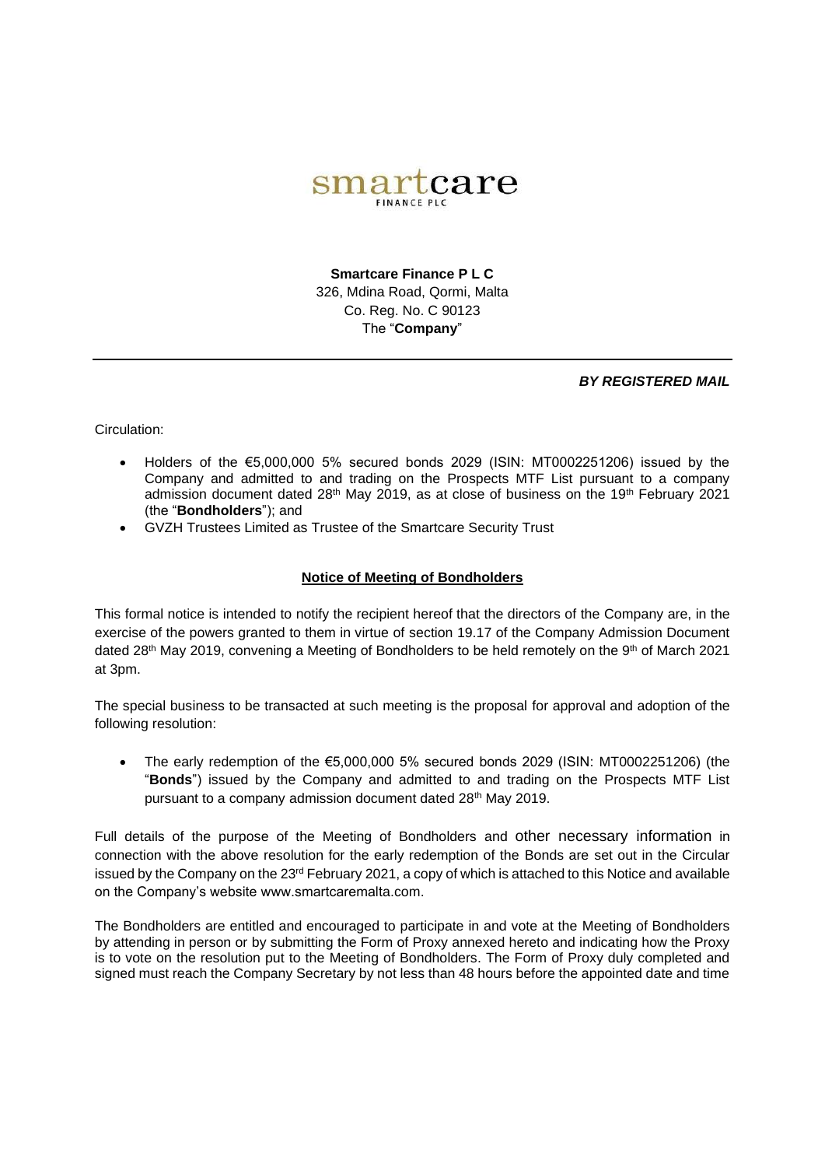

**Smartcare Finance P L C** 326, Mdina Road, Qormi, Malta Co. Reg. No. C 90123 The "**Company**"

## *BY REGISTERED MAIL*

Circulation:

- Holders of the  $65,000,000$  5% secured bonds 2029 (ISIN: MT0002251206) issued by the Company and admitted to and trading on the Prospects MTF List pursuant to a company admission document dated 28<sup>th</sup> May 2019, as at close of business on the 19<sup>th</sup> February 2021 (the "**Bondholders**"); and
- GVZH Trustees Limited as Trustee of the Smartcare Security Trust

## **Notice of Meeting of Bondholders**

This formal notice is intended to notify the recipient hereof that the directors of the Company are, in the exercise of the powers granted to them in virtue of section 19.17 of the Company Admission Document dated 28<sup>th</sup> May 2019, convening a Meeting of Bondholders to be held remotely on the 9<sup>th</sup> of March 2021 at 3pm.

The special business to be transacted at such meeting is the proposal for approval and adoption of the following resolution:

The early redemption of the  $\epsilon$ 5,000,000 5% secured bonds 2029 (ISIN: MT0002251206) (the "**Bonds**") issued by the Company and admitted to and trading on the Prospects MTF List pursuant to a company admission document dated 28<sup>th</sup> May 2019.

Full details of the purpose of the Meeting of Bondholders and other necessary information in connection with the above resolution for the early redemption of the Bonds are set out in the Circular issued by the Company on the 23<sup>rd</sup> February 2021, a copy of which is attached to this Notice and available on the Company's website www.smartcaremalta.com.

The Bondholders are entitled and encouraged to participate in and vote at the Meeting of Bondholders by attending in person or by submitting the Form of Proxy annexed hereto and indicating how the Proxy is to vote on the resolution put to the Meeting of Bondholders. The Form of Proxy duly completed and signed must reach the Company Secretary by not less than 48 hours before the appointed date and time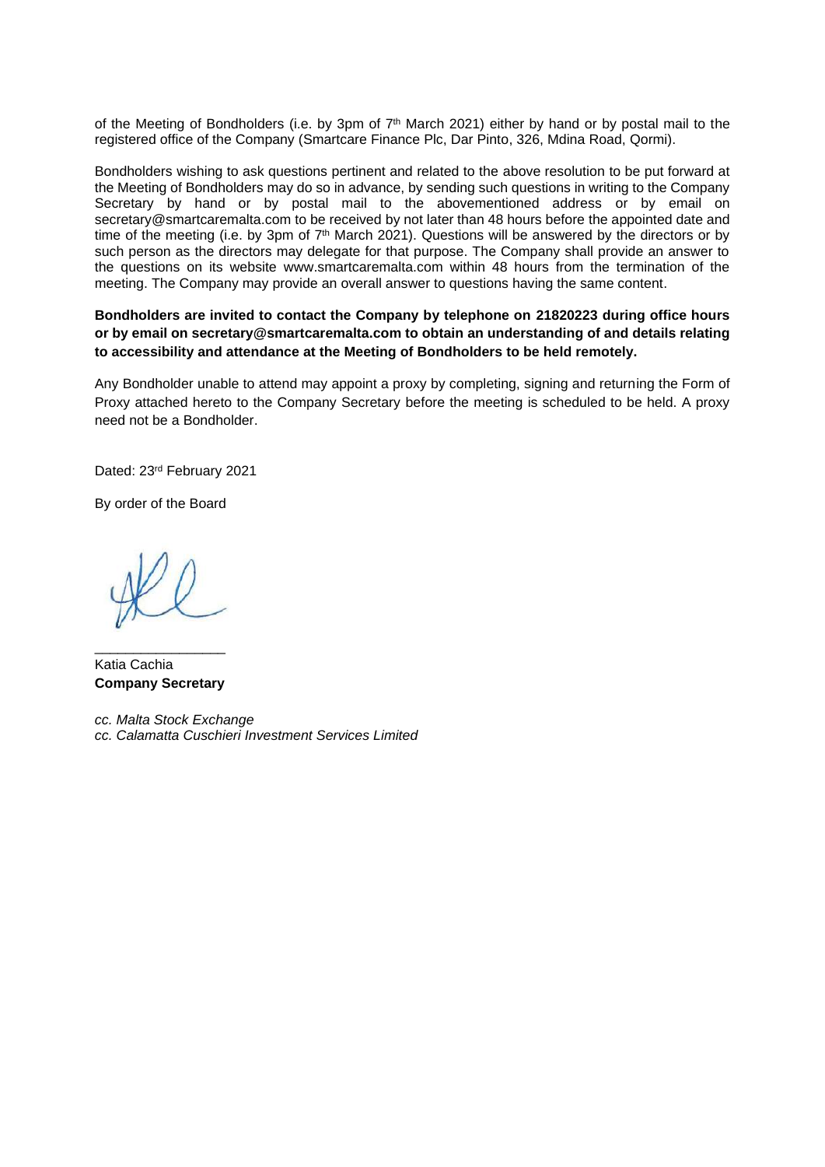of the Meeting of Bondholders (i.e. by 3pm of 7<sup>th</sup> March 2021) either by hand or by postal mail to the registered office of the Company (Smartcare Finance Plc, Dar Pinto, 326, Mdina Road, Qormi).

Bondholders wishing to ask questions pertinent and related to the above resolution to be put forward at the Meeting of Bondholders may do so in advance, by sending such questions in writing to the Company Secretary by hand or by postal mail to the abovementioned address or by email on [secretary@smartcaremalta.com](mailto:secretary@smartcaremalta.com) to be received by not later than 48 hours before the appointed date and time of the meeting (i.e. by 3pm of  $7<sup>th</sup>$  March 2021). Questions will be answered by the directors or by such person as the directors may delegate for that purpose. The Company shall provide an answer to the questions on its website www.smartcaremalta.com within 48 hours from the termination of the meeting. The Company may provide an overall answer to questions having the same content.

## **Bondholders are invited to contact the Company by telephone on 21820223 during office hours or by email on secretary@smartcaremalta.com to obtain an understanding of and details relating to accessibility and attendance at the Meeting of Bondholders to be held remotely.**

Any Bondholder unable to attend may appoint a proxy by completing, signing and returning the Form of Proxy attached hereto to the Company Secretary before the meeting is scheduled to be held. A proxy need not be a Bondholder.

Dated: 23rd February 2021

By order of the Board

\_\_\_\_\_\_\_\_\_\_\_\_\_\_\_\_\_ Katia Cachia **Company Secretary**

*cc. Malta Stock Exchange cc. Calamatta Cuschieri Investment Services Limited*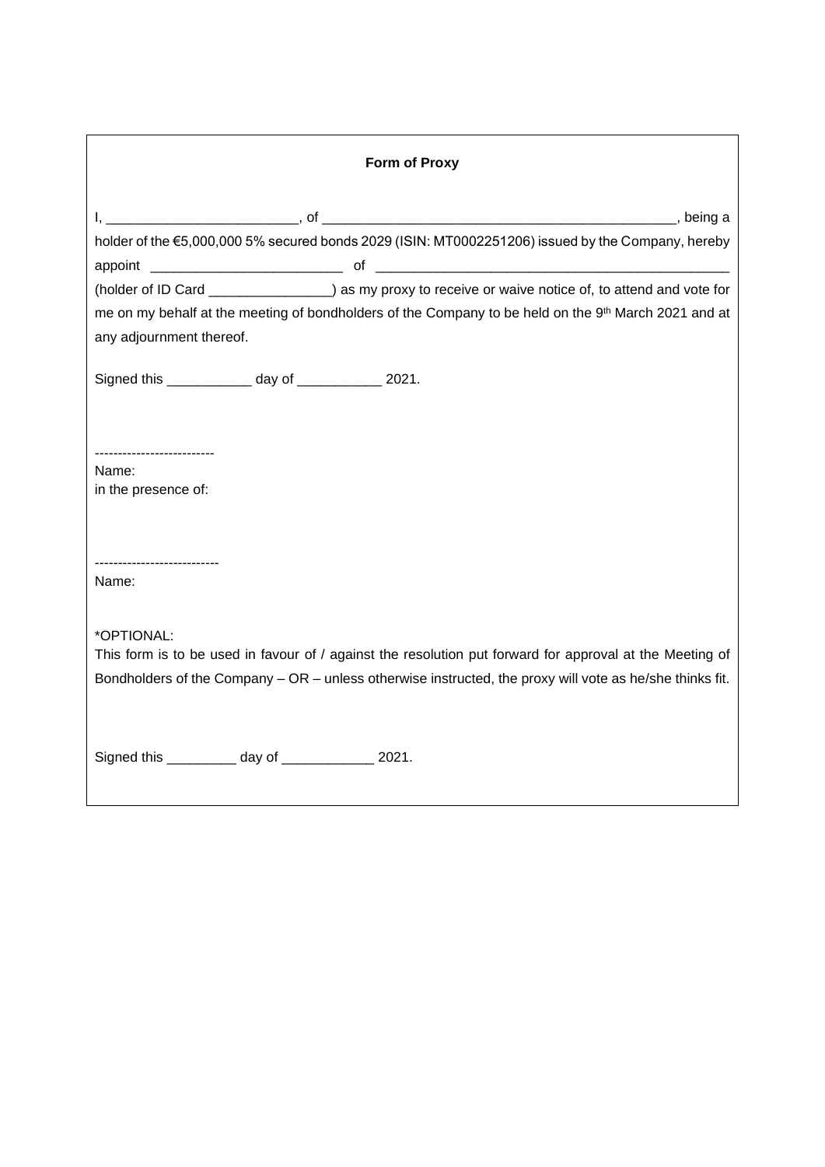| <b>Form of Proxy</b>                                   |  |  |                                                                                                                                                                                                                      |
|--------------------------------------------------------|--|--|----------------------------------------------------------------------------------------------------------------------------------------------------------------------------------------------------------------------|
|                                                        |  |  |                                                                                                                                                                                                                      |
|                                                        |  |  | holder of the €5,000,000 5% secured bonds 2029 (ISIN: MT0002251206) issued by the Company, hereby                                                                                                                    |
|                                                        |  |  |                                                                                                                                                                                                                      |
|                                                        |  |  | (holder of ID Card ________________) as my proxy to receive or waive notice of, to attend and vote for                                                                                                               |
| any adjournment thereof.                               |  |  | me on my behalf at the meeting of bondholders of the Company to be held on the 9th March 2021 and at                                                                                                                 |
| Signed this _____________ day of ____________ 2021.    |  |  |                                                                                                                                                                                                                      |
| ----------------------<br>Name:<br>in the presence of: |  |  |                                                                                                                                                                                                                      |
| Name:                                                  |  |  |                                                                                                                                                                                                                      |
| *OPTIONAL:                                             |  |  | This form is to be used in favour of / against the resolution put forward for approval at the Meeting of<br>Bondholders of the Company - OR - unless otherwise instructed, the proxy will vote as he/she thinks fit. |
| Signed this ___________ day of ______________ 2021.    |  |  |                                                                                                                                                                                                                      |